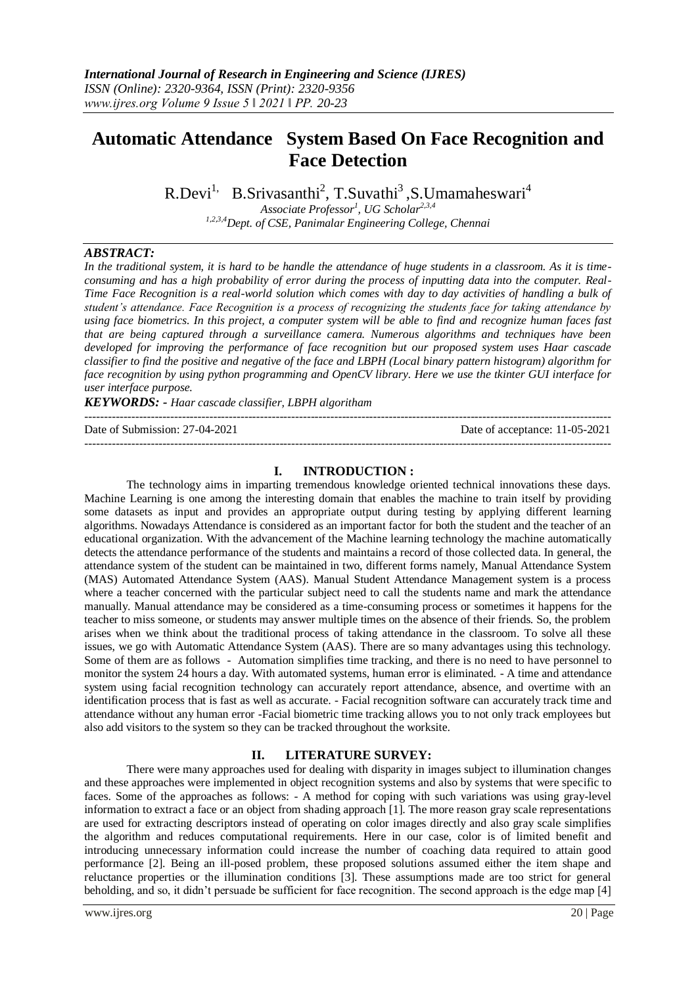# **Automatic Attendance System Based On Face Recognition and Face Detection**

R.Devi<sup>1,</sup> B.Srivasanthi<sup>2</sup>, T.Suvathi<sup>3</sup>, S.Umamaheswari<sup>4</sup> *Associate Professor<sup>1</sup> , UG Scholar2,3,4 1,2,3,4Dept. of CSE, Panimalar Engineering College, Chennai*

#### *ABSTRACT:*

*In the traditional system, it is hard to be handle the attendance of huge students in a classroom. As it is timeconsuming and has a high probability of error during the process of inputting data into the computer. Real-Time Face Recognition is a real-world solution which comes with day to day activities of handling a bulk of student's attendance. Face Recognition is a process of recognizing the students face for taking attendance by using face biometrics. In this project, a computer system will be able to find and recognize human faces fast that are being captured through a surveillance camera. Numerous algorithms and techniques have been developed for improving the performance of face recognition but our proposed system uses Haar cascade classifier to find the positive and negative of the face and LBPH (Local binary pattern histogram) algorithm for face recognition by using python programming and OpenCV library. Here we use the tkinter GUI interface for user interface purpose.*

*KEYWORDS: - Haar cascade classifier, LBPH algoritham*

---------------------------------------------------------------------------------------------------------------------------------------

 $-1\leq i\leq n-1$ 

Date of Submission: 27-04-2021 Date of acceptance: 11-05-2021

#### **I. INTRODUCTION :**

The technology aims in imparting tremendous knowledge oriented technical innovations these days. Machine Learning is one among the interesting domain that enables the machine to train itself by providing some datasets as input and provides an appropriate output during testing by applying different learning algorithms. Nowadays Attendance is considered as an important factor for both the student and the teacher of an educational organization. With the advancement of the Machine learning technology the machine automatically detects the attendance performance of the students and maintains a record of those collected data. In general, the attendance system of the student can be maintained in two, different forms namely, Manual Attendance System (MAS) Automated Attendance System (AAS). Manual Student Attendance Management system is a process where a teacher concerned with the particular subject need to call the students name and mark the attendance manually. Manual attendance may be considered as a time-consuming process or sometimes it happens for the teacher to miss someone, or students may answer multiple times on the absence of their friends. So, the problem arises when we think about the traditional process of taking attendance in the classroom. To solve all these issues, we go with Automatic Attendance System (AAS). There are so many advantages using this technology. Some of them are as follows - Automation simplifies time tracking, and there is no need to have personnel to monitor the system 24 hours a day. With automated systems, human error is eliminated. - A time and attendance system using facial recognition technology can accurately report attendance, absence, and overtime with an identification process that is fast as well as accurate. - Facial recognition software can accurately track time and attendance without any human error -Facial biometric time tracking allows you to not only track employees but also add visitors to the system so they can be tracked throughout the worksite.

#### **II. LITERATURE SURVEY:**

There were many approaches used for dealing with disparity in images subject to illumination changes and these approaches were implemented in object recognition systems and also by systems that were specific to faces. Some of the approaches as follows: - A method for coping with such variations was using gray-level information to extract a face or an object from shading approach [1]. The more reason gray scale representations are used for extracting descriptors instead of operating on color images directly and also gray scale simplifies the algorithm and reduces computational requirements. Here in our case, color is of limited benefit and introducing unnecessary information could increase the number of coaching data required to attain good performance [2]. Being an ill-posed problem, these proposed solutions assumed either the item shape and reluctance properties or the illumination conditions [3]. These assumptions made are too strict for general beholding, and so, it didn't persuade be sufficient for face recognition. The second approach is the edge map [4]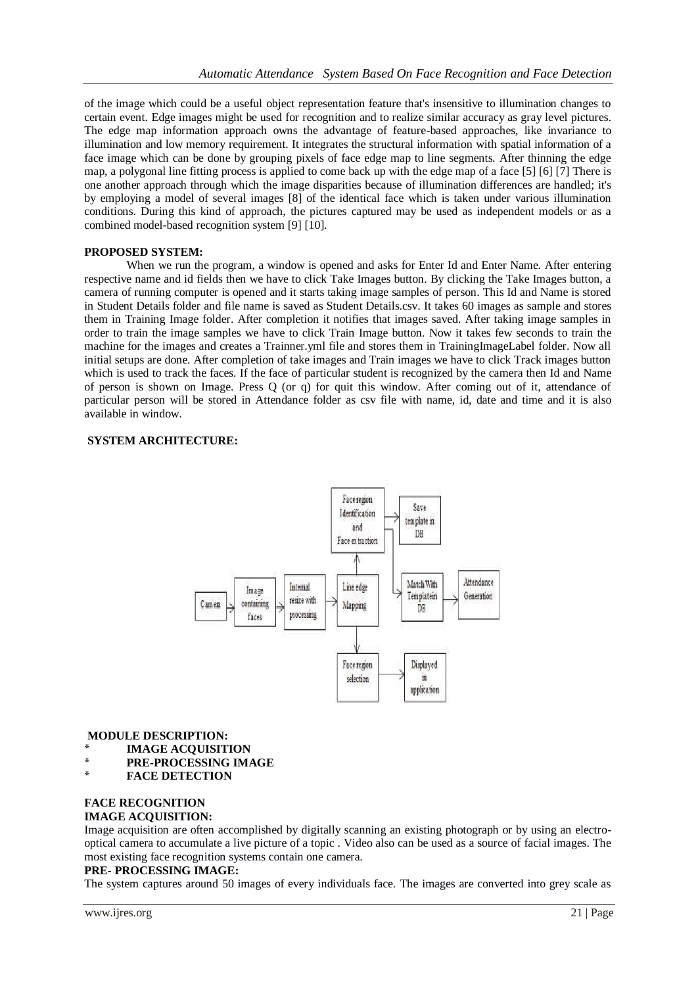of the image which could be a useful object representation feature that's insensitive to illumination changes to certain event. Edge images might be used for recognition and to realize similar accuracy as gray level pictures. The edge map information approach owns the advantage of feature-based approaches, like invariance to illumination and low memory requirement. It integrates the structural information with spatial information of a face image which can be done by grouping pixels of face edge map to line segments. After thinning the edge map, a polygonal line fitting process is applied to come back up with the edge map of a face [5] [6] [7] There is one another approach through which the image disparities because of illumination differences are handled; it's by employing a model of several images [8] of the identical face which is taken under various illumination conditions. During this kind of approach, the pictures captured may be used as independent models or as a combined model-based recognition system [9] [10].

#### **PROPOSED SYSTEM:**

When we run the program, a window is opened and asks for Enter Id and Enter Name. After entering respective name and id fields then we have to click Take Images button. By clicking the Take Images button, a camera of running computer is opened and it starts taking image samples of person. This Id and Name is stored in Student Details folder and file name is saved as Student Details.csv. It takes 60 images as sample and stores them in Training Image folder. After completion it notifies that images saved. After taking image samples in order to train the image samples we have to click Train Image button. Now it takes few seconds to train the machine for the images and creates a Trainner.yml file and stores them in TrainingImageLabel folder. Now all initial setups are done. After completion of take images and Train images we have to click Track images button which is used to track the faces. If the face of particular student is recognized by the camera then Id and Name of person is shown on Image. Press Q (or q) for quit this window. After coming out of it, attendance of particular person will be stored in Attendance folder as csv file with name, id, date and time and it is also available in window.

## **SYSTEM ARCHITECTURE:**



#### **MODULE DESCRIPTION:**

- \* **IMAGE ACQUISITION**
- \* **PRE-PROCESSING IMAGE**
- **FACE DETECTION**

## **FACE RECOGNITION**

## **IMAGE ACQUISITION:**

Image acquisition are often accomplished by digitally scanning an existing photograph or by using an electrooptical camera to accumulate a live picture of a topic . Video also can be used as a source of facial images. The most existing face recognition systems contain one camera.

#### **PRE- PROCESSING IMAGE:**

The system captures around 50 images of every individuals face. The images are converted into grey scale as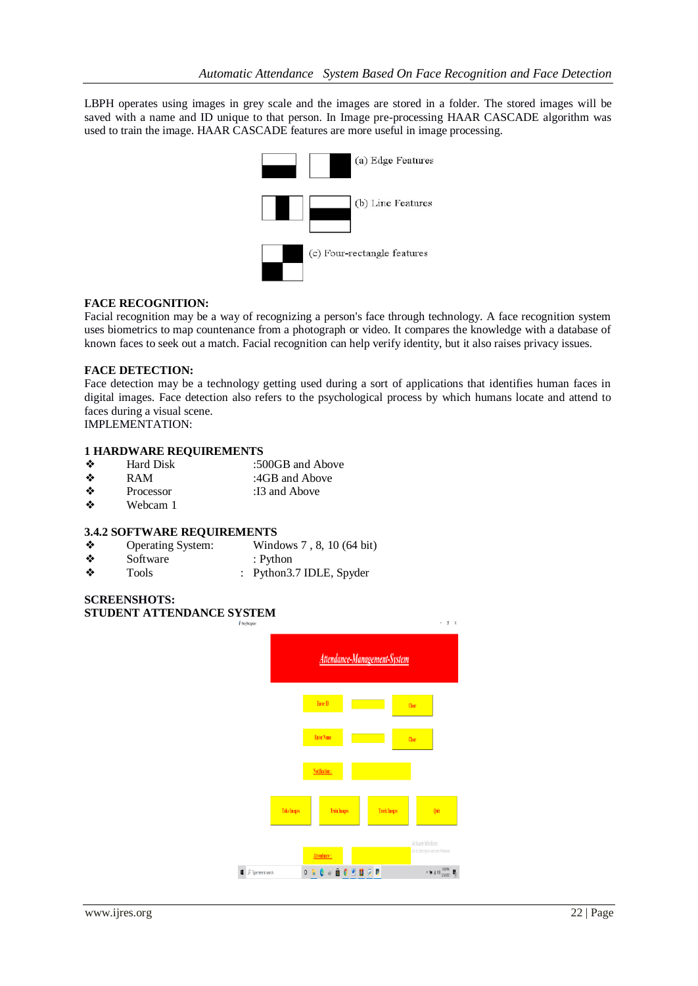LBPH operates using images in grey scale and the images are stored in a folder. The stored images will be saved with a name and ID unique to that person. In Image pre-processing HAAR CASCADE algorithm was used to train the image. HAAR CASCADE features are more useful in image processing.



### **FACE RECOGNITION:**

Facial recognition may be a way of recognizing a person's face through technology. A face recognition system uses biometrics to map countenance from a photograph or video. It compares the knowledge with a database of known faces to seek out a match. Facial recognition can help verify identity, but it also raises privacy issues.

#### **FACE DETECTION:**

Face detection may be a technology getting used during a sort of applications that identifies human faces in digital images. Face detection also refers to the psychological process by which humans locate and attend to faces during a visual scene.

IMPLEMENTATION:

#### **1 HARDWARE REQUIREMENTS**

- ❖ Hard Disk :500GB and Above
- ◆ RAM :4GB and Above
- ❖ Processor :I3 and Above<br>❖ Webcam 1
- Webcam 1

#### **3.4.2 SOFTWARE REQUIREMENTS**

- ❖ Operating System: Windows 7 , 8, 10 (64 bit)
- ◆ Software : Python<br>◆ Tools : Python 3.
- Tools : Python 3.7 IDLE, Spyder

## **SCREENSHOTS: STUDENT ATTENDANCE SYSTEM**